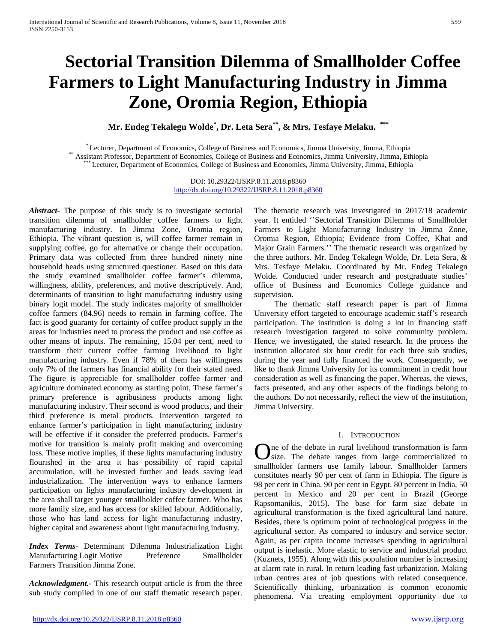# **Sectorial Transition Dilemma of Smallholder Coffee Farmers to Light Manufacturing Industry in Jimma Zone, Oromia Region, Ethiopia**

**Mr. Endeg Tekalegn Wolde\* , Dr. Leta Sera\*\*, & Mrs. Tesfaye Melaku. \*\*\***

\*Lecturer, Department of Economics, College of Business and Economics, Jimma University, Jimma, Ethiopia<br>Assistant Professor, Department of Economics, College of Business and Economics, Jimma University, Jimma, Ethiopia<br>\*\*

DOI: 10.29322/IJSRP.8.11.2018.p8360 <http://dx.doi.org/10.29322/IJSRP.8.11.2018.p8360>

*Abstract***-** The purpose of this study is to investigate sectorial transition dilemma of smallholder coffee farmers to light manufacturing industry. In Jimma Zone, Oromia region, Ethiopia. The vibrant question is, will coffee farmer remain in supplying coffee, go for alternative or change their occupation. Primary data was collected from three hundred ninety nine household heads using structured questioner. Based on this data the study examined smallholder coffee farmer's dilemma, willingness, ability, preferences, and motive descriptively. And, determinants of transition to light manufacturing industry using binary logit model. The study indicates majority of smallholder coffee farmers (84.96) needs to remain in farming coffee. The fact is good guaranty for certainty of coffee product supply in the areas for industries need to process the product and use coffee as other means of inputs. The remaining, 15.04 per cent, need to transform their current coffee farming livelihood to light manufacturing industry. Even if 78% of them has willingness only 7% of the farmers has financial ability for their stated need. The figure is appreciable for smallholder coffee farmer and agriculture dominated economy as starting point. These farmer's primary preference is agribusiness products among light manufacturing industry. Their second is wood products, and their third preference is metal products. Intervention targeted to enhance farmer's participation in light manufacturing industry will be effective if it consider the preferred products. Farmer's motive for transition is mainly profit making and overcoming loss. These motive implies, if these lights manufacturing industry flourished in the area it has possibility of rapid capital accumulation, will be invested further and leads saving lead industrialization. The intervention ways to enhance farmers participation on lights manufacturing industry development in the area shall target younger smallholder coffee farmer. Who has more family size, and has access for skilled labour. Additionally, those who has land access for light manufacturing industry, higher capital and awareness about light manufacturing industry.

*Index Terms*- Determinant Dilemma Industrialization Light Manufacturing Logit Motive Preference Smallholder Farmers Transition Jimma Zone.

*Acknowledgment.-* This research output article is from the three sub study compiled in one of our staff thematic research paper. The thematic research was investigated in 2017/18 academic year. It entitled ''Sectorial Transition Dilemma of Smallholder Farmers to Light Manufacturing Industry in Jimma Zone, Oromia Region, Ethiopia; Evidence from Coffee, Khat and Major Grain Farmers.'' The thematic research was organized by the three authors. Mr. Endeg Tekalegn Wolde, Dr. Leta Sera, & Mrs. Tesfaye Melaku. Coordinated by Mr. Endeg Tekalegn Wolde. Conducted under research and postgraduate studies' office of Business and Economics College guidance and supervision.

 The thematic staff research paper is part of Jimma University effort targeted to encourage academic staff's research participation. The institution is doing a lot in financing staff research investigation targeted to solve community problem. Hence, we investigated, the stated research. In the process the institution allocated six hour credit for each three sub studies, during the year and fully financed the work. Consequently, we like to thank Jimma University for its commitment in credit hour consideration as well as financing the paper. Whereas, the views, facts presented, and any other aspects of the findings belong to the authors. Do not necessarily, reflect the view of the institution, Jimma University.

# I. INTRODUCTION

ne of the debate in rural livelihood transformation is farm One of the debate in rural livelihood transformation is farm<br>size. The debate ranges from large commercialized to smallholder farmers use family labour. Smallholder farmers constitutes nearly 90 per cent of farm in Ethiopia. The figure is 98 per cent in China. 90 per cent in Egypt. 80 percent in India, 50 percent in Mexico and 20 per cent in Brazil (George Rapsomanikis, 2015). The base for farm size debate in agricultural transformation is the fixed agricultural land nature. Besides, there is optimum point of technological progress in the agricultural sector. As compared to industry and service sector. Again, as per capita income increases spending in agricultural output is inelastic. More elastic to service and industrial product (Kuznets, 1955). Along with this population number is increasing at alarm rate in rural. In return leading fast urbanization. Making urban centres area of job questions with related consequence. Scientifically thinking, urbanization is common economic phenomena. Via creating employment opportunity due to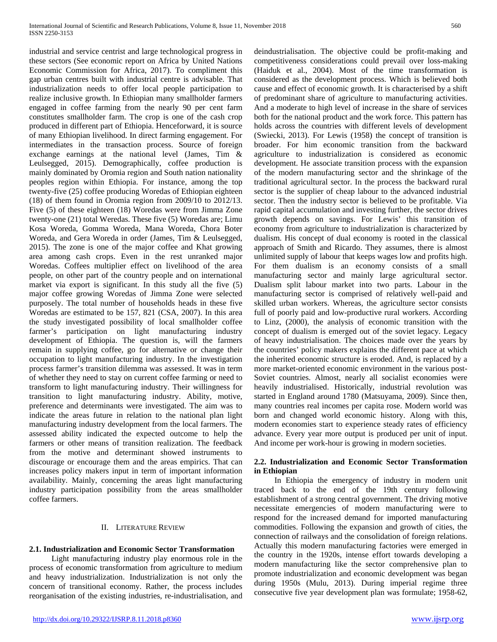industrial and service centrist and large technological progress in these sectors (See economic report on Africa by United Nations Economic Commission for Africa, 2017). To compliment this gap urban centres built with industrial centre is advisable. That industrialization needs to offer local people participation to realize inclusive growth. In Ethiopian many smallholder farmers engaged in coffee farming from the nearly 90 per cent farm constitutes smallholder farm. The crop is one of the cash crop produced in different part of Ethiopia. Henceforward, it is source of many Ethiopian livelihood. In direct farming engagement. For intermediates in the transaction process. Source of foreign exchange earnings at the national level (James, Tim & Leulsegged, 2015). Demographically, coffee production is mainly dominated by Oromia region and South nation nationality peoples region within Ethiopia. For instance, among the top twenty-five (25) coffee producing Woredas of Ethiopian eighteen (18) of them found in Oromia region from 2009/10 to 2012/13. Five (5) of these eighteen (18) Woredas were from Jimma Zone twenty-one (21) total Weredas. These five (5) Woredas are; Limu Kosa Woreda, Gomma Woreda, Mana Woreda, Chora Boter Woreda, and Gera Woreda in order (James, Tim & Leulsegged, 2015). The zone is one of the major coffee and Khat growing area among cash crops. Even in the rest unranked major Woredas. Coffees multiplier effect on livelihood of the area people, on other part of the country people and on international market via export is significant. In this study all the five (5) major coffee growing Woredas of Jimma Zone were selected purposely. The total number of households heads in these five Woredas are estimated to be 157, 821 (CSA, 2007). In this area the study investigated possibility of local smallholder coffee farmer's participation on light manufacturing industry development of Ethiopia. The question is, will the farmers remain in supplying coffee, go for alternative or change their occupation to light manufacturing industry. In the investigation process farmer's transition dilemma was assessed. It was in term of whether they need to stay on current coffee farming or need to transform to light manufacturing industry. Their willingness for transition to light manufacturing industry. Ability, motive, preference and determinants were investigated. The aim was to indicate the areas future in relation to the national plan light manufacturing industry development from the local farmers. The assessed ability indicated the expected outcome to help the farmers or other means of transition realization. The feedback from the motive and determinant showed instruments to discourage or encourage them and the areas empirics. That can increases policy makers input in term of important information availability. Mainly, concerning the areas light manufacturing industry participation possibility from the areas smallholder coffee farmers.

# II. LITERATURE REVIEW

# **2.1. Industrialization and Economic Sector Transformation**

 Light manufacturing industry play enormous role in the process of economic transformation from agriculture to medium and heavy industrialization. Industrialization is not only the concern of transitional economy. Rather, the process includes reorganisation of the existing industries, re-industrialisation, and deindustrialisation. The objective could be profit-making and competitiveness considerations could prevail over loss-making (Haiduk et al., 2004). Most of the time transformation is considered as the development process. Which is believed both cause and effect of economic growth. It is characterised by a shift of predominant share of agriculture to manufacturing activities. And a moderate to high level of increase in the share of services both for the national product and the work force. This pattern has holds across the countries with different levels of development (Swiecki, 2013). For Lewis (1958) the concept of transition is broader. For him economic transition from the backward agriculture to industrialization is considered as economic development. He associate transition process with the expansion of the modern manufacturing sector and the shrinkage of the traditional agricultural sector. In the process the backward rural sector is the supplier of cheap labour to the advanced industrial sector. Then the industry sector is believed to be profitable. Via rapid capital accumulation and investing further, the sector drives growth depends on savings. For Lewis' this transition of economy from agriculture to industrialization is characterized by dualism. His concept of dual economy is rooted in the classical approach of Smith and Ricardo. They assumes, there is almost unlimited supply of labour that keeps wages low and profits high. For them dualism is an economy consists of a small manufacturing sector and mainly large agricultural sector. Dualism split labour market into two parts. Labour in the manufacturing sector is comprised of relatively well-paid and skilled urban workers. Whereas, the agriculture sector consists full of poorly paid and low-productive rural workers. According to Linz, (2000), the analysis of economic transition with the concept of dualism is emerged out of the soviet legacy. Legacy of heavy industrialisation. The choices made over the years by the countries' policy makers explains the different pace at which the inherited economic structure is eroded. And, is replaced by a more market-oriented economic environment in the various post-Soviet countries. Almost, nearly all socialist economies were heavily industrialised. Historically, industrial revolution was started in England around 1780 (Matsuyama, 2009). Since then, many countries real incomes per capita rose. Modern world was born and changed world economic history. Along with this, modern economies start to experience steady rates of efficiency advance. Every year more output is produced per unit of input. And income per work-hour is growing in modern societies.

# **2.2. Industrialization and Economic Sector Transformation in Ethiopian**

 In Ethiopia the emergency of industry in modern unit traced back to the end of the 19th century following establishment of a strong central government. The driving motive necessitate emergencies of modern manufacturing were to respond for the increased demand for imported manufacturing commodities. Following the expansion and growth of cities, the connection of railways and the consolidation of foreign relations. Actually this modern manufacturing factories were emerged in the country in the 1920s, intense effort towards developing a modern manufacturing like the sector comprehensive plan to promote industrialization and economic development was began during 1950s (Mulu, 2013). During imperial regime three consecutive five year development plan was formulate; 1958-62,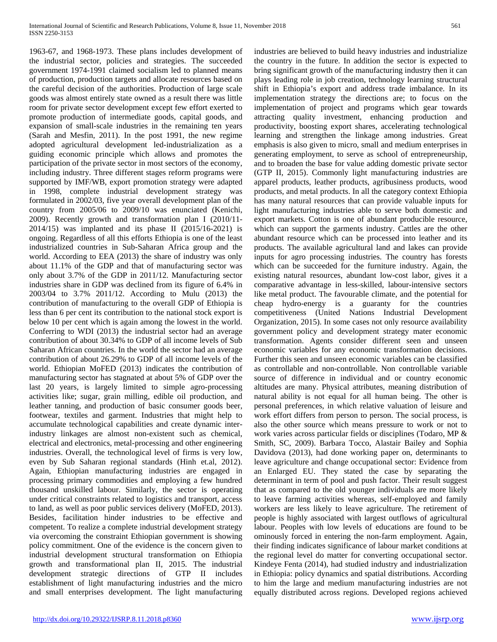1963-67, and 1968-1973. These plans includes development of the industrial sector, policies and strategies. The succeeded government 1974-1991 claimed socialism led to planned means of production, production targets and allocate resources based on the careful decision of the authorities. Production of large scale goods was almost entirely state owned as a result there was little room for private sector development except few effort exerted to promote production of intermediate goods, capital goods, and expansion of small-scale industries in the remaining ten years (Sarah and Mesfin, 2011). In the post 1991, the new regime adopted agricultural development led-industrialization as a guiding economic principle which allows and promotes the participation of the private sector in most sectors of the economy, including industry. Three different stages reform programs were supported by IMF/WB, export promotion strategy were adapted in 1998, complete industrial development strategy was formulated in 2002/03, five year overall development plan of the country from 2005/06 to 2009/10 was enunciated (Kenichi, 2009). Recently growth and transformation plan I (2010/11- 2014/15) was implanted and its phase II (2015/16-2021) is ongoing. Regardless of all this efforts Ethiopia is one of the least industrialized countries in Sub-Saharan Africa group and the world. According to EEA (2013) the share of industry was only about 11.1% of the GDP and that of manufacturing sector was only about 3.7% of the GDP in 2011/12. Manufacturing sector industries share in GDP was declined from its figure of 6.4% in 2003/04 to 3.7% 2011/12. According to Mulu (2013) the contribution of manufacturing to the overall GDP of Ethiopia is less than 6 per cent its contribution to the national stock export is below 10 per cent which is again among the lowest in the world. Conferring to WDI (2013) the industrial sector had an average contribution of about 30.34% to GDP of all income levels of Sub Saharan African countries. In the world the sector had an average contribution of about 26.29% to GDP of all income levels of the world. Ethiopian MoFED (2013) indicates the contribution of manufacturing sector has stagnated at about 5% of GDP over the last 20 years, is largely limited to simple agro-processing activities like; sugar, grain milling, edible oil production, and leather tanning, and production of basic consumer goods beer, footwear, textiles and garment. Industries that might help to accumulate technological capabilities and create dynamic interindustry linkages are almost non-existent such as chemical, electrical and electronics, metal-processing and other engineering industries. Overall, the technological level of firms is very low, even by Sub Saharan regional standards (Hinh et.al, 2012). Again, Ethiopian manufacturing industries are engaged in processing primary commodities and employing a few hundred thousand unskilled labour. Similarly, the sector is operating under critical constraints related to logistics and transport, access to land, as well as poor public services delivery (MoFED, 2013). Besides, facilitation hinder industries to be effective and competent. To realize a complete industrial development strategy via overcoming the constraint Ethiopian government is showing policy commitment. One of the evidence is the concern given to industrial development structural transformation on Ethiopia growth and transformational plan II, 2015. The industrial development strategic directions of GTP II includes establishment of light manufacturing industries and the micro and small enterprises development. The light manufacturing

industries are believed to build heavy industries and industrialize the country in the future. In addition the sector is expected to bring significant growth of the manufacturing industry then it can plays leading role in job creation, technology learning structural shift in Ethiopia's export and address trade imbalance. In its implementation strategy the directions are; to focus on the implementation of project and programs which gear towards attracting quality investment, enhancing production and productivity, boosting export shares, accelerating technological learning and strengthen the linkage among industries. Great emphasis is also given to micro, small and medium enterprises in generating employment, to serve as school of entrepreneurship, and to broaden the base for value adding domestic private sector (GTP II, 2015). Commonly light manufacturing industries are apparel products, leather products, agribusiness products, wood products, and metal products. In all the category context Ethiopia has many natural resources that can provide valuable inputs for light manufacturing industries able to serve both domestic and export markets. Cotton is one of abundant producible resource, which can support the garments industry. Cattles are the other abundant resource which can be processed into leather and its products. The available agricultural land and lakes can provide inputs for agro processing industries. The country has forests which can be succeeded for the furniture industry. Again, the existing natural resources, abundant low-cost labor, gives it a comparative advantage in less-skilled, labour-intensive sectors like metal product. The favourable climate, and the potential for cheap hydro-energy is a guaranty for the countries competitiveness (United Nations Industrial Development Organization, 2015). In some cases not only resource availability government policy and development strategy mater economic transformation. Agents consider different seen and unseen economic variables for any economic transformation decisions. Further this seen and unseen economic variables can be classified as controllable and non-controllable. Non controllable variable source of difference in individual and or country economic altitudes are many. Physical attributes, meaning distribution of natural ability is not equal for all human being. The other is personal preferences, in which relative valuation of leisure and work effort differs from person to person. The social process, is also the other source which means pressure to work or not to work varies across particular fields or disciplines (Todaro, MP & Smith, SC, 2009). Barbara Tocco, Alastair Bailey and Sophia Davidova (2013), had done working paper on, determinants to leave agriculture and change occupational sector: Evidence from an Enlarged EU. They stated the case by separating the determinant in term of pool and push factor. Their result suggest that as compared to the old younger individuals are more likely to leave farming activities whereas, self-employed and family workers are less likely to leave agriculture. The retirement of people is highly associated with largest outflows of agricultural labour. Peoples with low levels of educations are found to be ominously forced in entering the non-farm employment. Again, their finding indicates significance of labour market conditions at the regional level do matter for converting occupational sector. Kindeye Fenta (2014), had studied industry and industrialization in Ethiopia: policy dynamics and spatial distributions. According to him the large and medium manufacturing industries are not equally distributed across regions. Developed regions achieved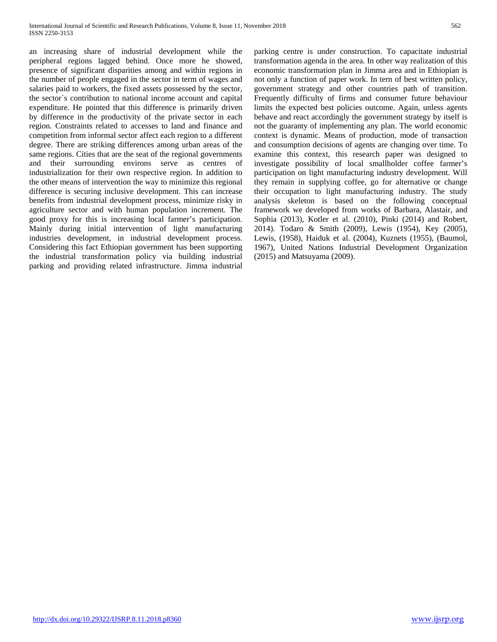an increasing share of industrial development while the peripheral regions lagged behind. Once more he showed, presence of significant disparities among and within regions in the number of people engaged in the sector in term of wages and salaries paid to workers, the fixed assets possessed by the sector, the sector`s contribution to national income account and capital expenditure. He pointed that this difference is primarily driven by difference in the productivity of the private sector in each region. Constraints related to accesses to land and finance and competition from informal sector affect each region to a different degree. There are striking differences among urban areas of the same regions. Cities that are the seat of the regional governments and their surrounding environs serve as centres of industrialization for their own respective region. In addition to the other means of intervention the way to minimize this regional difference is securing inclusive development. This can increase benefits from industrial development process, minimize risky in agriculture sector and with human population increment. The good proxy for this is increasing local farmer's participation. Mainly during initial intervention of light manufacturing industries development, in industrial development process. Considering this fact Ethiopian government has been supporting the industrial transformation policy via building industrial parking and providing related infrastructure. Jimma industrial parking centre is under construction. To capacitate industrial transformation agenda in the area. In other way realization of this economic transformation plan in Jimma area and in Ethiopian is not only a function of paper work. In tern of best written policy, government strategy and other countries path of transition. Frequently difficulty of firms and consumer future behaviour limits the expected best policies outcome. Again, unless agents behave and react accordingly the government strategy by itself is not the guaranty of implementing any plan. The world economic context is dynamic. Means of production, mode of transaction and consumption decisions of agents are changing over time. To examine this context, this research paper was designed to investigate possibility of local smallholder coffee farmer's participation on light manufacturing industry development. Will they remain in supplying coffee, go for alternative or change their occupation to light manufacturing industry. The study analysis skeleton is based on the following conceptual framework we developed from works of Barbara, Alastair, and Sophia (2013), Kotler et al. (2010), Pinki (2014) and Robert, 2014). Todaro & Smith (2009), Lewis (1954), Key (2005), Lewis, (1958), Haiduk et al. (2004), Kuznets (1955), (Baumol, 1967), United Nations Industrial Development Organization (2015) and Matsuyama (2009).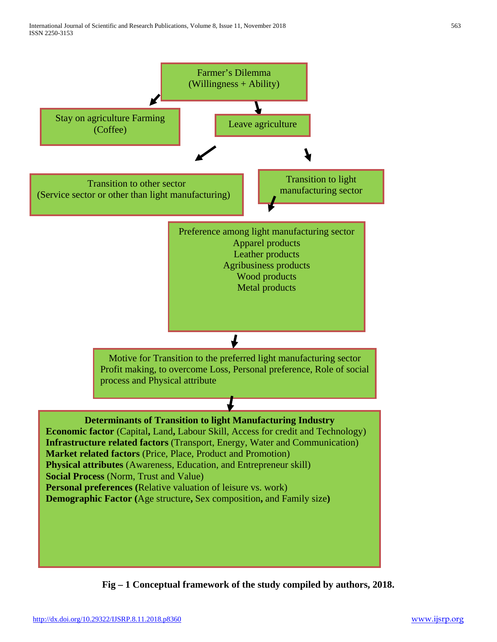

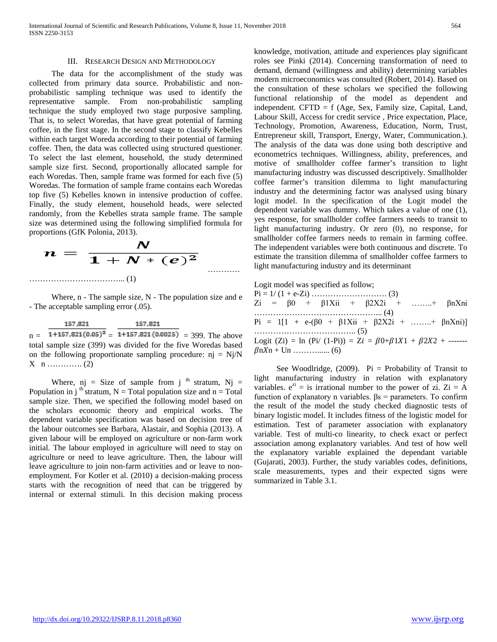#### III. RESEARCH DESIGN AND METHODOLOGY

 The data for the accomplishment of the study was collected from primary data source. Probabilistic and nonprobabilistic sampling technique was used to identify the representative sample. From non-probabilistic sampling technique the study employed two stage purposive sampling. That is, to select Woredas, that have great potential of farming coffee, in the first stage. In the second stage to classify Kebelles within each target Woreda according to their potential of farming coffee. Then, the data was collected using structured questioner. To select the last element, household, the study determined sample size first. Second, proportionally allocated sample for each Woredas. Then, sample frame was formed for each five (5) Woredas. The formation of sample frame contains each Woredas top five (5) Kebelles known in intensive production of coffee. Finally, the study element, household heads, were selected randomly, from the Kebelles strata sample frame. The sample size was determined using the following simplified formula for proportions (GfK Polonia, 2013).



Where, n - The sample size, N - The population size and e - The acceptable sampling error (.05).

157.821 157,821  $n = \frac{124 \text{ kg}}{1+157.821(0.05)^2} = \frac{1244 \text{ kg}}{1+157.821(0.0025)} = 399$ . The above total sample size (399) was divided for the five Woredas based on the following proportionate sampling procedure:  $nj = Nj/N$  $X \n n \dots (2)$ 

Where, nj = Size of sample from j  $<sup>th</sup>$  stratum, Nj =</sup> Population in j<sup>th</sup> stratum, N = Total population size and  $n = Total$ sample size. Then, we specified the following model based on the scholars economic theory and empirical works. The dependent variable specification was based on decision tree of the labour outcomes see Barbara, Alastair, and Sophia (2013). A given labour will be employed on agriculture or non-farm work initial. The labour employed in agriculture will need to stay on agriculture or need to leave agriculture. Then, the labour will leave agriculture to join non-farm activities and or leave to nonemployment. For Kotler et al. (2010) a decision-making process starts with the recognition of need that can be triggered by internal or external stimuli. In this decision making process

knowledge, motivation, attitude and experiences play significant roles see Pinki (2014). Concerning transformation of need to demand, demand (willingness and ability) determining variables modern microeconomics was consulted (Robert, 2014). Based on the consultation of these scholars we specified the following functional relationship of the model as dependent and independent. CFTD = f (Age, Sex, Family size, Capital, Land, Labour Skill, Access for credit service , Price expectation, Place, Technology, Promotion, Awareness, Education, Norm, Trust, Entrepreneur skill, Transport, Energy, Water, Communication.). The analysis of the data was done using both descriptive and econometrics techniques. Willingness, ability, preferences, and motive of smallholder coffee farmer's transition to light manufacturing industry was discussed descriptively. Smallholder coffee farmer's transition dilemma to light manufacturing industry and the determining factor was analysed using binary logit model. In the specification of the Logit model the dependent variable was dummy. Which takes a value of one (1), yes response, for smallholder coffee farmers needs to transit to light manufacturing industry. Or zero (0), no response, for smallholder coffee farmers needs to remain in farming coffee. The independent variables were both continuous and discrete. To estimate the transition dilemma of smallholder coffee farmers to light manufacturing industry and its determinant

Logit model was specified as follow;

| $Zi = \beta 0 + \beta 1Xii + \beta 2X2i + \dots + \beta nXni$                      |  |
|------------------------------------------------------------------------------------|--|
|                                                                                    |  |
| Pi = 1[1 + e- $(\beta 0 + \beta 1Xii + \beta 2X2i + \dots + \beta nXni)$ ]         |  |
|                                                                                    |  |
| Logit (Zi) = ln (Pi/ (1-Pi)) = Zi = $\beta$ 0+ $\beta$ 1X1 + $\beta$ 2X2 + ------- |  |
|                                                                                    |  |

See Woodlridge,  $(2009)$ . Pi = Probability of Transit to light manufacturing industry in relation with explanatory variables.  $e^{zi} =$  is irrational number to the power of zi. Zi = A function of explanatory n variables. βs = parameters. To confirm the result of the model the study checked diagnostic tests of binary logistic model. It includes fitness of the logistic model for estimation. Test of parameter association with explanatory variable. Test of multi-co linearity, to check exact or perfect association among explanatory variables. And test of how well the explanatory variable explained the dependant variable (Gujarati, 2003). Further, the study variables codes, definitions, scale measurements, types and their expected signs were summarized in Table 3.1.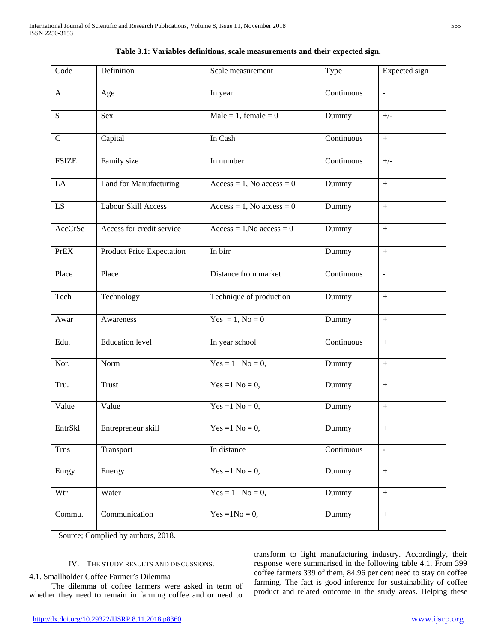| Code            | Definition                | Scale measurement              | Type                           | Expected sign    |
|-----------------|---------------------------|--------------------------------|--------------------------------|------------------|
| $\mathbf{A}$    | Age                       | In year                        | Continuous                     | $\Box$           |
| S               | Sex                       | $Male = 1$ , female = 0        | Dummy                          | $+/-$            |
| $\mathbf C$     | Capital                   | In Cash                        | Continuous                     | $\pm$            |
| <b>FSIZE</b>    | Family size               | In number                      | Continuous                     | $+/-$            |
| LA              | Land for Manufacturing    | $Access = 1$ , No $access = 0$ | Dummy                          |                  |
| $\overline{LS}$ | Labour Skill Access       | $Access = 1$ , No access = 0   | Dummy                          | $\ddot{}$        |
| AccCrSe         | Access for credit service | $Access = 1, No access = 0$    | Dummy                          |                  |
| <b>PrEX</b>     | Product Price Expectation | In birr                        | Dummy                          | $\, +$           |
| Place           | Place                     | Distance from market           | Continuous                     | $\blacksquare$   |
| Tech            | Technology                | Technique of production        | Dummy                          | $+$              |
| Awar            | Awareness                 | Yes = 1, $No = 0$              | Dummy                          | $+$              |
| Edu.            | <b>Education</b> level    | In year school                 | $\overline{\text{Continuous}}$ | $\, +$           |
| Nor.            | Norm                      | $Yes = 1$ No = 0,              | Dummy                          | $\, +$           |
| Tru.            | <b>Trust</b>              | Yes = $1$ No = $0$ ,           | Dummy                          | $+$              |
| Value           | Value                     | Yes = $1$ No = 0,              | Dummy                          | $\, +$           |
| EntrSkl         | Entrepreneur skill        | Yes = $1$ No = 0,              | Dummy                          | $^{+}$           |
| <b>Trns</b>     | Transport                 | In distance                    | Continuous                     | $\blacksquare$   |
| Enrgy           | Energy                    | Yes = $1$ No = $0$ ,           | Dummy                          | $\boldsymbol{+}$ |
| Wtr             | Water                     | $Yes = 1$ No = 0,              | Dummy                          | $\pm$            |
| Commu.          | Communication             | Yes = $1No = 0$ ,              | Dummy                          | $\, +$           |

|  |  |  | Table 3.1: Variables definitions, scale measurements and their expected sign. |  |  |  |  |
|--|--|--|-------------------------------------------------------------------------------|--|--|--|--|
|--|--|--|-------------------------------------------------------------------------------|--|--|--|--|

Source; Complied by authors, 2018.

# IV. THE STUDY RESULTS AND DISCUSSIONS.

# 4.1. Smallholder Coffee Farmer's Dilemma

 The dilemma of coffee farmers were asked in term of whether they need to remain in farming coffee and or need to

transform to light manufacturing industry. Accordingly, their response were summarised in the following table 4.1. From 399 coffee farmers 339 of them, 84.96 per cent need to stay on coffee farming. The fact is good inference for sustainability of coffee product and related outcome in the study areas. Helping these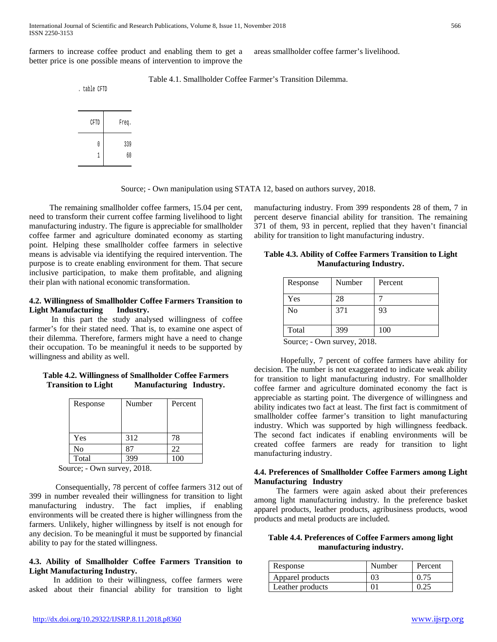farmers to increase coffee product and enabling them to get a better price is one possible means of intervention to improve the areas smallholder coffee farmer's livelihood.

Table 4.1. Smallholder Coffee Farmer's Transition Dilemma.

. table CFTD



Source; - Own manipulation using STATA 12, based on authors survey, 2018.

 The remaining smallholder coffee farmers, 15.04 per cent, need to transform their current coffee farming livelihood to light manufacturing industry. The figure is appreciable for smallholder coffee farmer and agriculture dominated economy as starting point. Helping these smallholder coffee farmers in selective means is advisable via identifying the required intervention. The purpose is to create enabling environment for them. That secure inclusive participation, to make them profitable, and aligning their plan with national economic transformation.

# **4.2. Willingness of Smallholder Coffee Farmers Transition to Light Manufacturing Industry.**

 In this part the study analysed willingness of coffee farmer's for their stated need. That is, to examine one aspect of their dilemma. Therefore, farmers might have a need to change their occupation. To be meaningful it needs to be supported by willingness and ability as well.

# **Table 4.2. Willingness of Smallholder Coffee Farmers Transition to Light Manufacturing Industry.**

| Response | Number        | Percent |
|----------|---------------|---------|
| Yes      | 312           | 78      |
| No       | $\mathbf{R}'$ | 22      |
| Total    | 300           |         |

Source; - Own survey, 2018.

 Consequentially, 78 percent of coffee farmers 312 out of 399 in number revealed their willingness for transition to light manufacturing industry. The fact implies, if enabling environments will be created there is higher willingness from the farmers. Unlikely, higher willingness by itself is not enough for any decision. To be meaningful it must be supported by financial ability to pay for the stated willingness.

# **4.3. Ability of Smallholder Coffee Farmers Transition to Light Manufacturing Industry.**

 In addition to their willingness, coffee farmers were asked about their financial ability for transition to light manufacturing industry. From 399 respondents 28 of them, 7 in percent deserve financial ability for transition. The remaining 371 of them, 93 in percent, replied that they haven't financial ability for transition to light manufacturing industry.

**Table 4.3. Ability of Coffee Farmers Transition to Light Manufacturing Industry.**

| Response | Number | Percent |
|----------|--------|---------|
| Yes      | 28     |         |
| No       | 371    | 93      |
| Total    | 399    | 100     |

Source; - Own survey, 2018.

 Hopefully, 7 percent of coffee farmers have ability for decision. The number is not exaggerated to indicate weak ability for transition to light manufacturing industry. For smallholder coffee farmer and agriculture dominated economy the fact is appreciable as starting point. The divergence of willingness and ability indicates two fact at least. The first fact is commitment of smallholder coffee farmer's transition to light manufacturing industry. Which was supported by high willingness feedback. The second fact indicates if enabling environments will be created coffee farmers are ready for transition to light manufacturing industry.

# **4.4. Preferences of Smallholder Coffee Farmers among Light Manufacturing Industry**

 The farmers were again asked about their preferences among light manufacturing industry. In the preference basket apparel products, leather products, agribusiness products, wood products and metal products are included.

| Table 4.4. Preferences of Coffee Farmers among light |  |
|------------------------------------------------------|--|
| manufacturing industry.                              |  |

| Response         | Number | Percent |
|------------------|--------|---------|
| Apparel products | 03     | 0.75    |
| Leather products |        |         |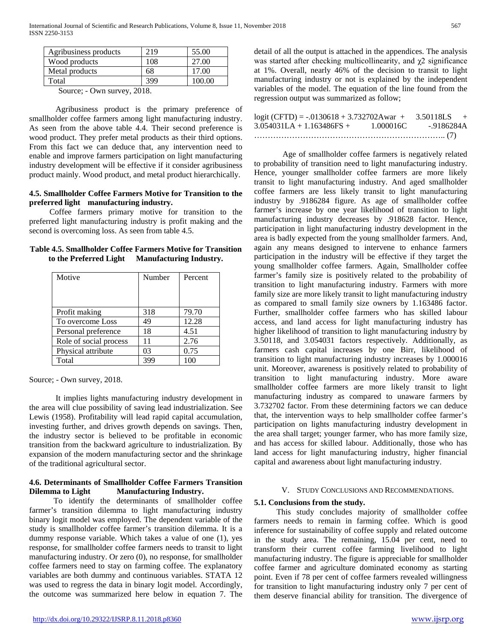| Agribusiness products | 219 | 55.00  |
|-----------------------|-----|--------|
| Wood products         | 108 | 27.00  |
| Metal products        | 68  | 17.00  |
| Total                 | 399 | 100.00 |
|                       |     |        |

 Agribusiness product is the primary preference of smallholder coffee farmers among light manufacturing industry. As seen from the above table 4.4. Their second preference is wood product. They prefer metal products as their third options. From this fact we can deduce that, any intervention need to enable and improve farmers participation on light manufacturing industry development will be effective if it consider agribusiness product mainly. Wood product, and metal product hierarchically.

# **4.5. Smallholder Coffee Farmers Motive for Transition to the preferred light manufacturing industry.**

 Coffee farmers primary motive for transition to the preferred light manufacturing industry is profit making and the second is overcoming loss. As seen from table 4.5.

|                        | Table 4.5. Smallholder Coffee Farmers Motive for Transition |
|------------------------|-------------------------------------------------------------|
| to the Preferred Light | <b>Manufacturing Industry.</b>                              |

| Motive                 | Number | Percent |
|------------------------|--------|---------|
| Profit making          | 318    | 79.70   |
| To overcome Loss       | 49     | 12.28   |
| Personal preference    | 18     | 4.51    |
| Role of social process | 11     | 2.76    |
| Physical attribute     | 03     | 0.75    |
| Total                  |        |         |

Source; - Own survey, 2018.

 It implies lights manufacturing industry development in the area will clue possibility of saving lead industrialization. See Lewis (1958). Profitability will lead rapid capital accumulation, investing further, and drives growth depends on savings. Then, the industry sector is believed to be profitable in economic transition from the backward agriculture to industrialization. By expansion of the modern manufacturing sector and the shrinkage of the traditional agricultural sector.

# **4.6. Determinants of Smallholder Coffee Farmers Transition Dilemma to Light Manufacturing Industry.**

 To identify the determinants of smallholder coffee farmer's transition dilemma to light manufacturing industry binary logit model was employed. The dependent variable of the study is smallholder coffee farmer's transition dilemma. It is a dummy response variable. Which takes a value of one (1), yes response, for smallholder coffee farmers needs to transit to light manufacturing industry. Or zero (0), no response, for smallholder coffee farmers need to stay on farming coffee. The explanatory variables are both dummy and continuous variables. STATA 12 was used to regress the data in binary logit model. Accordingly, the outcome was summarized here below in equation 7. The detail of all the output is attached in the appendices. The analysis was started after checking multicollinearity, and  $\chi$ 2 significance at 1%. Overall, nearly 46% of the decision to transit to light manufacturing industry or not is explained by the independent variables of the model. The equation of the line found from the regression output was summarized as follow;

| $logit (CFTD) = -0.0130618 + 3.732702Awar +$ |           | $3.50118LS +$ |  |
|----------------------------------------------|-----------|---------------|--|
| $3.054031LA + 1.163486FS +$                  | 1.000016C | -.9186284A    |  |
|                                              |           |               |  |

 Age of smallholder coffee farmers is negatively related to probability of transition need to light manufacturing industry. Hence, younger smallholder coffee farmers are more likely transit to light manufacturing industry. And aged smallholder coffee farmers are less likely transit to light manufacturing industry by .9186284 figure. As age of smallholder coffee farmer's increase by one year likelihood of transition to light manufacturing industry decreases by .918628 factor. Hence, participation in light manufacturing industry development in the area is badly expected from the young smallholder farmers. And, again any means designed to intervene to enhance farmers participation in the industry will be effective if they target the young smallholder coffee farmers. Again, Smallholder coffee farmer's family size is positively related to the probability of transition to light manufacturing industry. Farmers with more family size are more likely transit to light manufacturing industry as compared to small family size owners by 1.163486 factor. Further, smallholder coffee farmers who has skilled labour access, and land access for light manufacturing industry has higher likelihood of transition to light manufacturing industry by 3.50118, and 3.054031 factors respectively. Additionally, as farmers cash capital increases by one Birr, likelihood of transition to light manufacturing industry increases by 1.000016 unit. Moreover, awareness is positively related to probability of transition to light manufacturing industry. More aware smallholder coffee farmers are more likely transit to light manufacturing industry as compared to unaware farmers by 3.732702 factor. From these determining factors we can deduce that, the intervention ways to help smallholder coffee farmer's participation on lights manufacturing industry development in the area shall target; younger farmer, who has more family size, and has access for skilled labour. Additionally, those who has land access for light manufacturing industry, higher financial capital and awareness about light manufacturing industry.

#### V. STUDY CONCLUSIONS AND RECOMMENDATIONS.

#### **5.1. Conclusions from the study.**

 This study concludes majority of smallholder coffee farmers needs to remain in farming coffee. Which is good inference for sustainability of coffee supply and related outcome in the study area. The remaining, 15.04 per cent, need to transform their current coffee farming livelihood to light manufacturing industry. The figure is appreciable for smallholder coffee farmer and agriculture dominated economy as starting point. Even if 78 per cent of coffee farmers revealed willingness for transition to light manufacturing industry only 7 per cent of them deserve financial ability for transition. The divergence of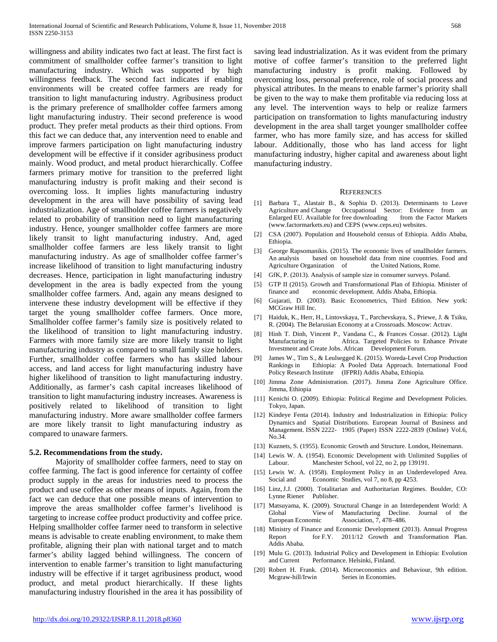willingness and ability indicates two fact at least. The first fact is commitment of smallholder coffee farmer's transition to light manufacturing industry. Which was supported by high willingness feedback. The second fact indicates if enabling environments will be created coffee farmers are ready for transition to light manufacturing industry. Agribusiness product is the primary preference of smallholder coffee farmers among light manufacturing industry. Their second preference is wood product. They prefer metal products as their third options. From this fact we can deduce that, any intervention need to enable and improve farmers participation on light manufacturing industry development will be effective if it consider agribusiness product mainly. Wood product, and metal product hierarchically. Coffee farmers primary motive for transition to the preferred light manufacturing industry is profit making and their second is overcoming loss. It implies lights manufacturing industry development in the area will have possibility of saving lead industrialization. Age of smallholder coffee farmers is negatively related to probability of transition need to light manufacturing industry. Hence, younger smallholder coffee farmers are more likely transit to light manufacturing industry. And, aged smallholder coffee farmers are less likely transit to light manufacturing industry. As age of smallholder coffee farmer's increase likelihood of transition to light manufacturing industry decreases. Hence, participation in light manufacturing industry development in the area is badly expected from the young smallholder coffee farmers. And, again any means designed to intervene these industry development will be effective if they target the young smallholder coffee farmers. Once more, Smallholder coffee farmer's family size is positively related to the likelihood of transition to light manufacturing industry. Farmers with more family size are more likely transit to light manufacturing industry as compared to small family size holders. Further, smallholder coffee farmers who has skilled labour access, and land access for light manufacturing industry have higher likelihood of transition to light manufacturing industry. Additionally, as farmer's cash capital increases likelihood of transition to light manufacturing industry increases. Awareness is positively related to likelihood of transition to light manufacturing industry. More aware smallholder coffee farmers are more likely transit to light manufacturing industry as compared to unaware farmers.

#### **5.2. Recommendations from the study.**

 Majority of smallholder coffee farmers, need to stay on coffee farming. The fact is good inference for certainty of coffee product supply in the areas for industries need to process the product and use coffee as other means of inputs. Again, from the fact we can deduce that one possible means of intervention to improve the areas smallholder coffee farmer's livelihood is targeting to increase coffee product productivity and coffee price. Helping smallholder coffee farmer need to transform in selective means is advisable to create enabling environment, to make them profitable, aligning their plan with national target and to match farmer's ability lagged behind willingness. The concern of intervention to enable farmer's transition to light manufacturing industry will be effective if it target agribusiness product, wood product, and metal product hierarchically. If these lights manufacturing industry flourished in the area it has possibility of

saving lead industrialization. As it was evident from the primary motive of coffee farmer's transition to the preferred light manufacturing industry is profit making. Followed by overcoming loss, personal preference, role of social process and physical attributes. In the means to enable farmer's priority shall be given to the way to make them profitable via reducing loss at any level. The intervention ways to help or realize farmers participation on transformation to lights manufacturing industry development in the area shall target younger smallholder coffee farmer, who has more family size, and has access for skilled labour. Additionally, those who has land access for light manufacturing industry, higher capital and awareness about light manufacturing industry.

#### **REFERENCES**

- [1] Barbara T., Alastair B., & Sophia D. (2013). Determinants to Leave Agriculture and Change Occupational Sector: Evidence from an Enlarged EU. Available for free downloading from the Factor Markets (www.factormarkets.eu) and CEPS (www.ceps.eu) websites.
- [2] CSA (2007). Population and Household census of Ethiopia. Addis Ababa, Ethiopia.
- [3] George Rapsomanikis. (2015). The economic lives of smallholder farmers. An analysis based on household data from nine countries. Food and Agriculture Organization of the United Nations, Rome.
- [4] GfK, P. (2013). Analysis of sample size in consumer surveys. Poland.
- [5] GTP II (2015). Growth and Transformational Plan of Ethiopia. Minister of finance and economic development. Addis Ababa, Ethiopia.
- [6] Gujarati, D. (2003). Basic Econometrics, Third Edition. New york: MCGraw Hill Inc.
- [7] Haiduk, K., Herr, H., Lintovskaya, T., Parchevskaya, S., Priewe, J. & Tsiku, R. (2004). The Belarusian Economy at a Crossroads. Moscow: Actrav.
- [8] Hinh T. Dinh, Vincent P., Vandana C., & Frances Cossar. (2012). Light Manufacturing in Africa. Targeted Policies to Enhance Private Investment and Create Jobs. African Development Forum.
- [9] James W., Tim S., & Leulsegged K. (2015). Woreda-Level Crop Production Rankings in Ethiopia: A Pooled Data Approach. International Food Policy Research Institute (IFPRI) Addis Ababa, Ethiopia.
- [10] Jimma Zone Administration. (2017). Jimma Zone Agriculture Office. Jimma, Ethiopia
- [11] Kenichi O. (2009). Ethiopia: Political Regime and Development Policies. Tokyo, Japan.
- [12] Kindeye Fenta (2014). Industry and Industrialization in Ethiopia: Policy Dynamics and Spatial Distributions. European Journal of Business and Management. ISSN 2222- 1905 (Paper) ISSN 2222-2839 (Online) Vol.6, No.34.
- [13] Kuznets, S. (1955). Economic Growth and Structure. London, Heinemann.
- [14] Lewis W. A. (1954). Economic Development with Unlimited Supplies of Labour. Manchester School, vol 22, no 2, pp 139191.
- [15] Lewis W. A. (1958). Employment Policy in an Underdeveloped Area. Social and Economic Studies, vol 7, no 8, pp 4253.
- [16] Linz, J.J. (2000). Totalitarian and Authoritarian Regimes. Boulder, CO: Lynne Riener Publisher.
- [17] Matsuyama, K. (2009). Structural Change in an Interdependent World: A View of Manufacturing Decline. Journal of the European Economic Association, 7, 478–486.
- [18] Ministry of Finance and Economic Development (2013). Annual Progress Report for F.Y. 2011/12 Growth and Transformation Plan. Addis Ababa.
- [19] Mulu G. (2013). Industrial Policy and Development in Ethiopia: Evolution and Current Performance. Helsinki, Finland.
- [20] Robert H. Frank. (2014). Microeconomics and Behaviour, 9th edition. Mcgraw-hill/Irwin Series in Economies.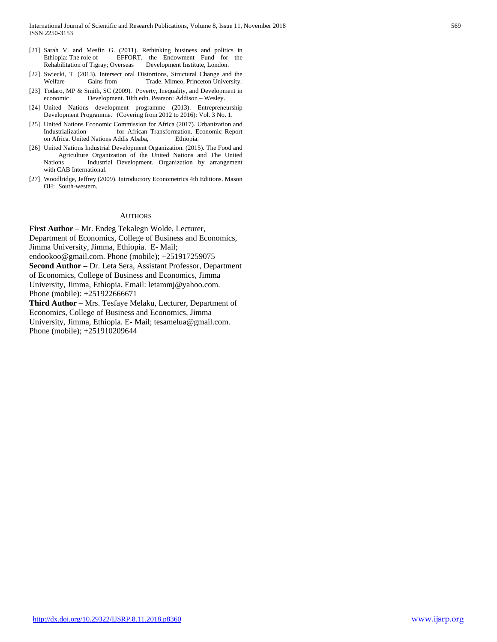- [21] Sarah V. and Mesfin G. (2011). Rethinking business and politics in EFFORT, the Endowment Fund for the Rehabilitation of Tigray; Overseas Development Institute, London.
- [22] Swiecki, T. (2013). Intersect oral Distortions, Structural Change and the Welfare Gains from Trade. Mimeo, Princeton University.
- [23] Todaro, MP & Smith, SC (2009). Poverty, Inequality, and Development in economic Development. 10th edn. Pearson: Addison – Wesley.
- [24] United Nations development programme (2013). Entrepreneurship Development Programme. (Covering from 2012 to 2016): Vol. 3 No. 1.
- [25] United Nations Economic Commission for Africa (2017). Urbanization and Industrialization for African Transformation. Economic Report on Africa. United Nations Addis Ababa, Ethiopia.
- [26] United Nations Industrial Development Organization. (2015). The Food and Agriculture Organization of the United Nations and The United Nations Industrial Development. Organization by arrangement with CAB International.
- [27] Woodlridge, Jeffrey (2009). Introductory Econometrics 4th Editions. Mason OH: South-western.

#### AUTHORS

**First Author** – Mr. Endeg Tekalegn Wolde, Lecturer, Department of Economics, College of Business and Economics, Jimma University, Jimma, Ethiopia. E- Mail; endookoo@gmail.com. Phone (mobile); +251917259075 **Second Author** – Dr. Leta Sera, Assistant Professor, Department of Economics, College of Business and Economics, Jimma University, Jimma, Ethiopia. Email: letammj@yahoo.com. Phone (mobile): +251922666671 **Third Author** – Mrs. Tesfaye Melaku, Lecturer, Department of

Economics, College of Business and Economics, Jimma University, Jimma, Ethiopia. E- Mail; tesamelua@gmail.com. Phone (mobile); +251910209644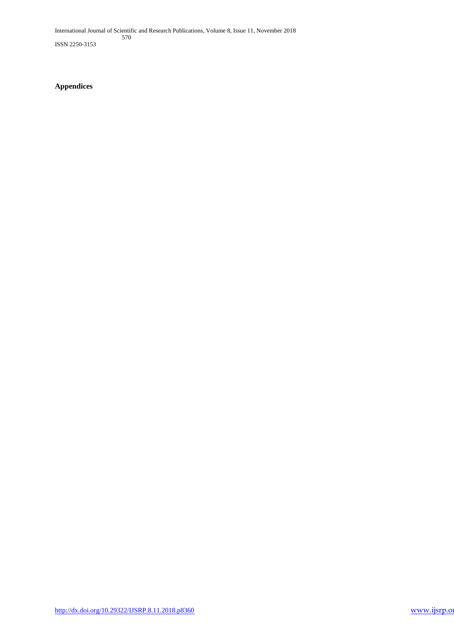International Journal of Scientific and Research Publications, Volume 8, Issue 11, November 2018 570

ISSN 2250-3153

**Appendices**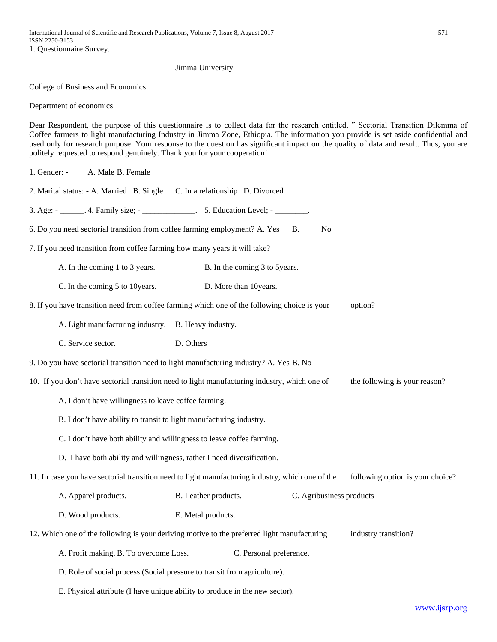#### Jimma University

College of Business and Economics

Department of economics

Dear Respondent, the purpose of this questionnaire is to collect data for the research entitled, " Sectorial Transition Dilemma of Coffee farmers to light manufacturing Industry in Jimma Zone, Ethiopia. The information you provide is set aside confidential and used only for research purpose. Your response to the question has significant impact on the quality of data and result. Thus, you are politely requested to respond genuinely. Thank you for your cooperation!

1. Gender: - A. Male B. Female

| 2. Marital status: - A. Married B. Single | C. In a relationship D. Divorced |
|-------------------------------------------|----------------------------------|
|-------------------------------------------|----------------------------------|

3. Age:  $\text{-}$  4. Family size;  $\text{-}$  5. Education Level;  $\text{-}$ 

- 6. Do you need sectorial transition from coffee farming employment? A. Yes B. No
- 7. If you need transition from coffee farming how many years it will take?
	- A. In the coming 1 to 3 years. B. In the coming 3 to 5 years.
	- C. In the coming 5 to 10years. D. More than 10years.
- 8. If you have transition need from coffee farming which one of the following choice is your option?
	- A. Light manufacturing industry. B. Heavy industry.
	- C. Service sector. D. Others

9. Do you have sectorial transition need to light manufacturing industry? A. Yes B. No

- 10. If you don't have sectorial transition need to light manufacturing industry, which one of the following is your reason?
	- A. I don't have willingness to leave coffee farming.
	- B. I don't have ability to transit to light manufacturing industry.
	- C. I don't have both ability and willingness to leave coffee farming.
	- D. I have both ability and willingness, rather I need diversification.
- 11. In case you have sectorial transition need to light manufacturing industry, which one of the following option is your choice?
	- A. Apparel products. B. Leather products. C. Agribusiness products
	- D. Wood products. E. Metal products.

12. Which one of the following is your deriving motive to the preferred light manufacturing industry transition?

- A. Profit making. B. To overcome Loss. C. Personal preference.
- D. Role of social process (Social pressure to transit from agriculture).
- E. Physical attribute (I have unique ability to produce in the new sector).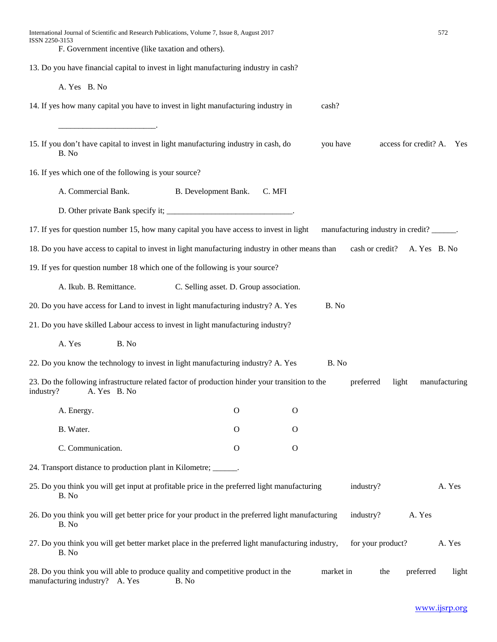| International Journal of Scientific and Research Publications, Volume 7, Issue 8, August 2017<br>ISSN 2250-3153             |                                         |              |                                           |                   | 572                       |
|-----------------------------------------------------------------------------------------------------------------------------|-----------------------------------------|--------------|-------------------------------------------|-------------------|---------------------------|
| F. Government incentive (like taxation and others).                                                                         |                                         |              |                                           |                   |                           |
| 13. Do you have financial capital to invest in light manufacturing industry in cash?                                        |                                         |              |                                           |                   |                           |
| A. Yes B. No                                                                                                                |                                         |              |                                           |                   |                           |
| 14. If yes how many capital you have to invest in light manufacturing industry in                                           |                                         |              | cash?                                     |                   |                           |
| 15. If you don't have capital to invest in light manufacturing industry in cash, do<br>B. No                                |                                         |              | you have                                  |                   | access for credit? A. Yes |
| 16. If yes which one of the following is your source?                                                                       |                                         |              |                                           |                   |                           |
| A. Commercial Bank.                                                                                                         | B. Development Bank.                    | C. MFI       |                                           |                   |                           |
|                                                                                                                             |                                         |              |                                           |                   |                           |
| 17. If yes for question number 15, how many capital you have access to invest in light                                      |                                         |              | manufacturing industry in credit? ______. |                   |                           |
| 18. Do you have access to capital to invest in light manufacturing industry in other means than                             |                                         |              |                                           | cash or credit?   | A. Yes B. No              |
| 19. If yes for question number 18 which one of the following is your source?                                                |                                         |              |                                           |                   |                           |
| A. Ikub. B. Remittance.                                                                                                     | C. Selling asset. D. Group association. |              |                                           |                   |                           |
| 20. Do you have access for Land to invest in light manufacturing industry? A. Yes                                           |                                         |              | B. No                                     |                   |                           |
| 21. Do you have skilled Labour access to invest in light manufacturing industry?                                            |                                         |              |                                           |                   |                           |
| A. Yes<br>B. No                                                                                                             |                                         |              |                                           |                   |                           |
| 22. Do you know the technology to invest in light manufacturing industry? A. Yes                                            |                                         |              | B. No                                     |                   |                           |
| 23. Do the following infrastructure related factor of production hinder your transition to the<br>A. Yes B. No<br>industry? |                                         |              | preferred                                 | light             | manufacturing             |
| A. Energy.                                                                                                                  | $\mathbf{O}$                            | $\mathbf{O}$ |                                           |                   |                           |
| B. Water.                                                                                                                   | $\mathbf{O}$                            | $\mathbf{O}$ |                                           |                   |                           |
| C. Communication.                                                                                                           | $\mathbf O$                             | $\mathbf{O}$ |                                           |                   |                           |
| 24. Transport distance to production plant in Kilometre; ______.                                                            |                                         |              |                                           |                   |                           |
| 25. Do you think you will get input at profitable price in the preferred light manufacturing<br>B. No                       |                                         |              | industry?                                 |                   | A. Yes                    |
| 26. Do you think you will get better price for your product in the preferred light manufacturing<br>B. No                   |                                         |              | industry?                                 |                   | A. Yes                    |
| 27. Do you think you will get better market place in the preferred light manufacturing industry,<br>B. No                   |                                         |              |                                           | for your product? | A. Yes                    |
| 28. Do you think you will able to produce quality and competitive product in the<br>manufacturing industry? A. Yes<br>B. No |                                         |              | market in                                 | the               | preferred<br>light        |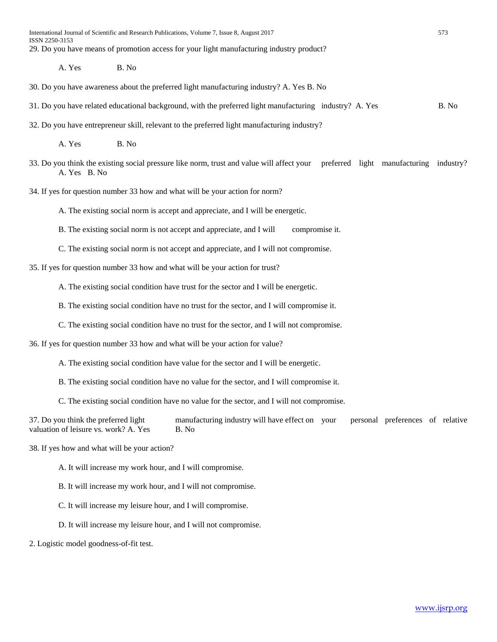International Journal of Scientific and Research Publications, Volume 7, Issue 8, August 2017 573 ISSN 2250-3153 29. Do you have means of promotion access for your light manufacturing industry product?

A. Yes B. No

- 30. Do you have awareness about the preferred light manufacturing industry? A. Yes B. No
- 31. Do you have related educational background, with the preferred light manufacturing industry? A. Yes B. No
- 32. Do you have entrepreneur skill, relevant to the preferred light manufacturing industry?

A. Yes B. No

- 33. Do you think the existing social pressure like norm, trust and value will affect your preferred light manufacturing industry? A. Yes B. No
- 34. If yes for question number 33 how and what will be your action for norm?

A. The existing social norm is accept and appreciate, and I will be energetic.

B. The existing social norm is not accept and appreciate, and I will compromise it.

C. The existing social norm is not accept and appreciate, and I will not compromise.

35. If yes for question number 33 how and what will be your action for trust?

A. The existing social condition have trust for the sector and I will be energetic.

B. The existing social condition have no trust for the sector, and I will compromise it.

C. The existing social condition have no trust for the sector, and I will not compromise.

36. If yes for question number 33 how and what will be your action for value?

A. The existing social condition have value for the sector and I will be energetic.

B. The existing social condition have no value for the sector, and I will compromise it.

C. The existing social condition have no value for the sector, and I will not compromise.

37. Do you think the preferred light manufacturing industry will have effect on your personal preferences of relative valuation of leisure vs. work? A. Yes B. No

38. If yes how and what will be your action?

A. It will increase my work hour, and I will compromise.

B. It will increase my work hour, and I will not compromise.

C. It will increase my leisure hour, and I will compromise.

D. It will increase my leisure hour, and I will not compromise.

2. Logistic model goodness-of-fit test.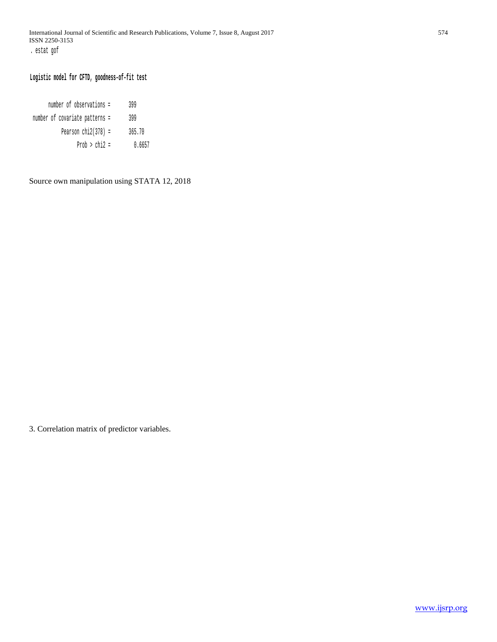# **Logistic model for CFTD, goodness-of-fit test**

| number of observations =       | 399    |
|--------------------------------|--------|
| number of covariate patterns = | 399    |
| Pearson $chi2(378)$ =          | 365.70 |
| Prob $>$ chi2 =                | 0.6657 |

Source own manipulation using STATA 12, 2018

3. Correlation matrix of predictor variables.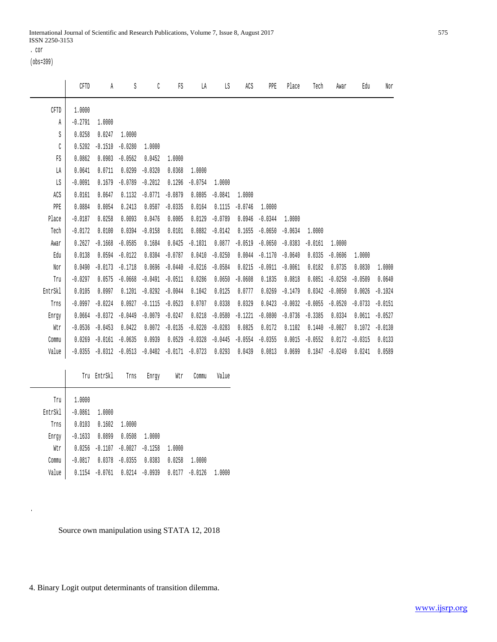. cor

(obs=399)

 $\overline{\phantom{0}}$ 

.

|         | CFTD      | A         | S         | C         | FS        | LA        | LS        | ACS       | PPE       | Place     | Tech      | Awar      | Edu       | Nor       |
|---------|-----------|-----------|-----------|-----------|-----------|-----------|-----------|-----------|-----------|-----------|-----------|-----------|-----------|-----------|
| CFTD    | 1,0000    |           |           |           |           |           |           |           |           |           |           |           |           |           |
| Ά       | $-0.2791$ | 1.0000    |           |           |           |           |           |           |           |           |           |           |           |           |
| S       | 0.0258    | 0.0247    | 1,0000    |           |           |           |           |           |           |           |           |           |           |           |
| C       | 0.5202    | $-0.1510$ | $-0.0280$ | 1.0000    |           |           |           |           |           |           |           |           |           |           |
| FS      | 0.0862    | 0.0903    | $-0.0562$ | 0.0452    | 1,0000    |           |           |           |           |           |           |           |           |           |
| LA      | 0.0641    | 0.0711    | 0.0299    | $-0.0320$ | 0.0368    | 1.0000    |           |           |           |           |           |           |           |           |
| LS      | $-0.0091$ | 0.1679    | $-0.0789$ | $-0.2012$ | 0.1296    | $-0.0754$ | 1,0000    |           |           |           |           |           |           |           |
| ACS     | 0.0161    | 0.0647    | 0.1132    | $-0.0771$ | $-0.0879$ | 0.0805    | $-0.0841$ | 1,0000    |           |           |           |           |           |           |
| PPE     | 0.0884    | 0.0054    | 0.2413    | 0.0507    | $-0.0335$ | 0.0164    | 0.1115    | $-0.0746$ | 1.0000    |           |           |           |           |           |
| Place   | $-0.0187$ | 0.0258    | 0.0093    | 0.0476    | 0.0005    | 0.0129    | $-0.0789$ | 0.0946    | $-0.0344$ | 1.0000    |           |           |           |           |
| Tech    | $-0.0172$ | 0.0100    | 0.0394    | $-0.0158$ | 0.0101    | 0.0882    | $-0.0142$ | 0.1655    | $-0.0650$ | $-0.0634$ | 1,0000    |           |           |           |
| Awar    | 0.2627    | $-0.1668$ | $-0.0585$ | 0.1684    | 0.0425    | $-0.1031$ | 0.0877    | $-0.0519$ | $-0.0650$ | $-0.0383$ | $-0.0161$ | 1.0000    |           |           |
| Edu     | 0.0138    | 0.0594    | $-0.0122$ | 0.0304    | $-0.0787$ | 0.0410    | $-0.0250$ | 0.0044    | $-0.1170$ | $-0.0640$ | 0.0335    | $-0.0606$ | 1.0000    |           |
| Nor     | 0.0490    | $-0.0173$ | $-0.1718$ | 0.0696    | $-0.0440$ | $-0.0216$ | $-0.0584$ | 0.0215    | $-0.0911$ | $-0.0061$ | 0.0182    | 0.0735    | 0.0830    | 1.0000    |
| Tru     | $-0.0297$ | 0.0575    | $-0.0668$ | $-0.0491$ | $-0.0511$ | 0.0286    | 0.0650    | $-0.0608$ | 0.1835    | 0.0818    | 0.0851    | $-0.0258$ | $-0.0509$ | 0.0640    |
| EntrSkl | 0.0105    | 0.0997    | 0.1201    | $-0.0292$ | $-0.0044$ | 0.1042    | 0.0125    | 0.0777    | 0.0269    | $-0.1479$ | 0.0342    | $-0.0050$ | 0.0026    | $-0.1024$ |
| Trns    | $-0.0997$ | $-0.0224$ | 0.0927    | $-0.1115$ | $-0.0523$ | 0.0707    | 0.0338    | 0.0329    | 0.0423    | $-0.0032$ | $-0.0055$ | $-0.0520$ | $-0.0733$ | $-0.0151$ |
| Enrqy   | 0.0664    | $-0.0372$ | $-0.0449$ | $-0.0079$ | $-0.0247$ | 0.0218    | $-0.0580$ | $-0.1221$ | $-0.0800$ | $-0.0736$ | $-0.3385$ | 0.0334    | 0.0611    | $-0.0527$ |
| Wtr     | $-0.0536$ | $-0.0453$ | 0.0422    | 0.0072    | $-0.0135$ | $-0.0220$ | $-0.0283$ | 0.0825    | 0.0172    | 0.1102    | 0.1440    | $-0.0027$ | 0.1072    | $-0.0130$ |
| Commu   | 0.0269    | $-0.0161$ | $-0.0635$ | 0.0939    | 0.0529    | $-0.0328$ | $-0.0445$ | $-0.0554$ | $-0.0355$ | 0.0015    | $-0.0552$ | 0.0172    | $-0.0315$ | 0.0133    |
| Value   | $-0.0355$ | $-0.0312$ | $-0.0513$ | $-0.0402$ | $-0.0171$ | $-0.0723$ | 0.0293    | 0.0439    | 0.0813    | 0.0699    | 0.1847    | $-0.0249$ | 0.0241    | 0.0589    |

|         | Tru       | EntrSkl   | Trns      | Enrqy     | Wtr    | Commu     | Value  |
|---------|-----------|-----------|-----------|-----------|--------|-----------|--------|
| Tru     | 1.0000    |           |           |           |        |           |        |
| EntrSkl | $-0.0861$ | 1,0000    |           |           |        |           |        |
| Trns    | 0.0103    | 0.1602    | 1.0000    |           |        |           |        |
| Enrqy   | $-0.1633$ | 0.0899    | 0.0508    | 1.0000    |        |           |        |
| Wtr     | 0.0256    | $-0.1107$ | $-0.0027$ | $-0.1258$ | 1.0000 |           |        |
| Commu   | $-0.0817$ | 0.0378    | $-0.0355$ | 0.0383    | 0.0258 | 1.0000    |        |
| Value   | 0.1154    | $-0.0761$ | 0.0214    | $-0.0939$ | 0.0177 | $-0.0126$ | 1.0000 |

Source own manipulation using STATA 12, 2018

4. Binary Logit output determinants of transition dilemma.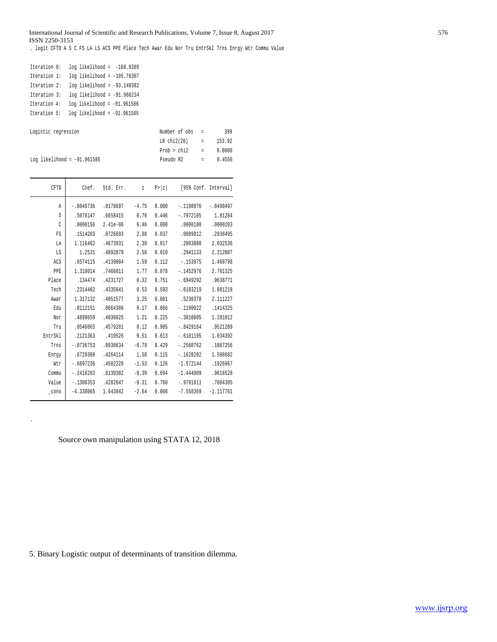#### International Journal of Scientific and Research Publications, Volume 7, Issue 8, August 2017 576 ISSN 2250-3153

. logit CFTD A S C FS LA LS ACS PPE Place Tech Awar Edu Nor Tru EntrSkl Trns Enrgy Wtr Commu Value

| Iteration 0: |  | $log$ likelihood = $-168.9209$  |  |
|--------------|--|---------------------------------|--|
| Iteration 1: |  | $log$ likelihood = $-105.76307$ |  |
| Iteration 2: |  | $log$ likelihood = -93.149382   |  |
| Iteration 3: |  | $log$ likelihood = -91.966234   |  |
| Iteration 4: |  | $log$ likelihood = $-91.961586$ |  |
| Iteration 5: |  | $log$ likelihood = $-91.961585$ |  |

.

| Logistic regression           | Number of obs = |                          | 399    |
|-------------------------------|-----------------|--------------------------|--------|
|                               | LR $chi2(20)$ = |                          | 153.92 |
|                               | $Prob > chi2$ = |                          | 0.0000 |
| Log likelihood = $-91.961585$ | Pseudo R2       | <b>Contract Contract</b> | 0.4556 |

| CFTD            | Coef.       | Std. Err.  | $\overline{z}$ | P >  Z |             | [95% Conf. Interval] |
|-----------------|-------------|------------|----------------|--------|-------------|----------------------|
| Ά               | $-.0848736$ | .0178697   | $-4.75$        | 0.000  | $-.1198976$ | $-.0498497$          |
| S               | .5078147    | .6658415   | 0.76           | 0.446  | $-.7972105$ | 1.81284              |
| C               | .0000156    | $2.41e-06$ | 6.46           | 0.000  | .0000108    | .0000203             |
| FS              | .1514203    | .0726693   | 2.08           | 0.037  | .0089912    | .2938495             |
| LA              | 1.116462    | .4673931   | 2.39           | 0.017  | .2003888    | 2.032536             |
| LS              | 1.2531      | .4892879   | 2.56           | 0.010  | .2941133    | 2.212087             |
| ACS             | .6574115    | .4139804   | 1.59           | 0.112  | $-.153975$  | 1.468798             |
| PPE             | 1.318014    | .7466011   | 1.77           | 0.078  | $-.1452976$ | 2.781325             |
| Place           | .134474     | .4231727   | 0.32           | 0.751  | $-.6949292$ | .9638771             |
| Tech            | .2314482    | .4335641   | 0.53           | 0.593  | $-.6183219$ | 1.081218             |
| Awar            | 1.317132    | .4051577   | 3.25           | 0.001  | .5230378    | 2.111227             |
| Edu             | .0112151    | .0664386   | 0.17           | 0.866  | $-1190022$  | .1414325             |
| Nor             | .4899659    | .4036025   | 1.21           | 0.225  | $-.3010805$ | 1.281012             |
| Tru             | .0546063    | .4579281   | 0.12           | 0.905  | $-.8429164$ | .9521289             |
| EntrSkl         | .2121363    | .419526    | 0.51           | 0.613  | $-.6101195$ | 1.034392             |
| Trns            | $-0736753$  | .0930634   | $-0.79$        | 0.429  | $-.2560762$ | .1087256             |
| Enrgy           | .6729308    | .4264114   | 1.58           | 0.115  | $-.1628202$ | 1.508682             |
| Wtr             | $-.6897236$ | .4502228   | $-1.53$        | 0.126  | $-1.572144$ | .1926967             |
| Commu           | $-.2416283$ | .6139302   | $-0.39$        | 0.694  | $-1.444909$ | .9616528             |
| Value           | $-.1308353$ | .4282047   | $-0.31$        | 0.760  | $-.9701011$ | .7084305             |
| $_{\rm \_cons}$ | $-4.338065$ | 1.643042   | $-2.64$        | 0.008  | $-7.558369$ | $-1.117761$          |

Source own manipulation using STATA 12, 2018

5. Binary Logistic output of determinants of transition dilemma.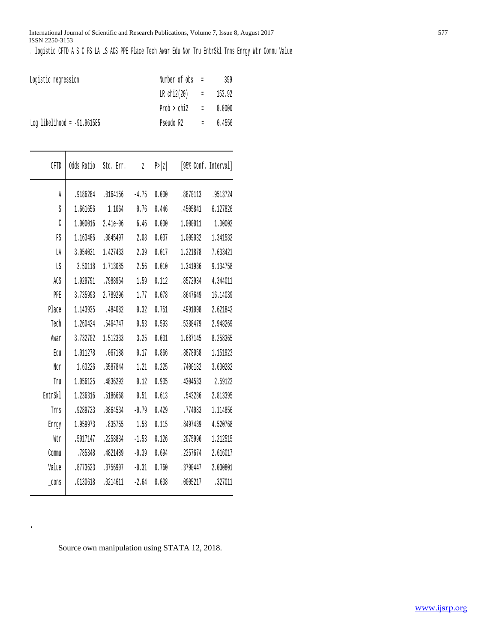#### International Journal of Scientific and Research Publications, Volume 7, Issue 8, August 2017 577 ISSN 2250-3153

. logistic CFTD A S C FS LA LS ACS PPE Place Tech Awar Edu Nor Tru EntrSkl Trns Enrgy Wtr Commu Value

| Logistic regression           | Number of obs =        | 399 |
|-------------------------------|------------------------|-----|
|                               | LR chi2(20) = $153.92$ |     |
|                               | $Prob > chi2 = 0.0000$ |     |
| Log likelihood = $-91.961585$ | Pseudo R2 $= 0.4556$   |     |

| CFTD    | Odds Ratio | Std. Err. | $\overline{z}$ | P >  z | [95% Conf. Interval] |          |
|---------|------------|-----------|----------------|--------|----------------------|----------|
| A       | .9186284   | .0164156  | $-4.75$        | 0.000  | .8870113             | .9513724 |
| S       | 1.661656   | 1.1064    | 0.76           | 0.446  | .4505841             | 6.127826 |
| C       | 1.000016   | 2.41e-06  | 6.46           | 0.000  | 1.000011             | 1.00002  |
| FS      | 1.163486   | .0845497  | 2.08           | 0.037  | 1.009032             | 1.341582 |
| LA      | 3.054031   | 1.427433  | 2.39           | 0.017  | 1.221878             | 7.633421 |
| LS      | 3.50118    | 1.713085  | 2.56           | 0.010  | 1.341936             | 9.134758 |
| ACS     | 1.929791   | .7988954  | 1.59           | 0.112  | .8572934             | 4.344011 |
| PPE     | 3.735993   | 2.789296  | 1.77           | 0.078  | .8647649             | 16.14039 |
| Place   | 1.143935   | .484082   | 0.32           | 0.751  | .4991098             | 2.621842 |
| Tech    | 1.260424   | .5464747  | 0.53           | 0.593  | .5388479             | 2.948269 |
| Awar    | 3.732702   | 1.512333  | 3.25           | 0.001  | 1.687145             | 8.258365 |
| Edu     | 1.011278   | .067188   | 0.17           | 0.866  | .8878058             | 1.151923 |
| Nor     | 1.63226    | .6587844  | 1.21           | 0.225  | .7400182             | 3.600282 |
| Tru     | 1.056125   | .4836292  | 0.12           | 0.905  | .4304533             | 2.59122  |
| EntrSkl | 1.236316   | .5186668  | 0.51           | 0.613  | .543286              | 2.813395 |
| Trns    | .9289733   | .0864534  | $-0.79$        | 0.429  | .774083              | 1.114856 |
| Enrgy   | 1.959973   | .835755   | 1.58           | 0.115  | .8497439             | 4.520768 |
| Wtr     | .5017147   | .2258834  | $-1.53$        | 0.126  | .2075996             | 1.212515 |
| Commu   | .785348    | .4821489  | $-0.39$        | 0.694  | .2357674             | 2.616017 |
| Value   | .8773623   | .3756907  | $-0.31$        | 0.760  | .3790447             | 2.030801 |
| _cons   | .0130618   | .0214611  | $-2.64$        | 0.008  | .0005217             | .327011  |

Source own manipulation using STATA 12, 2018.

.